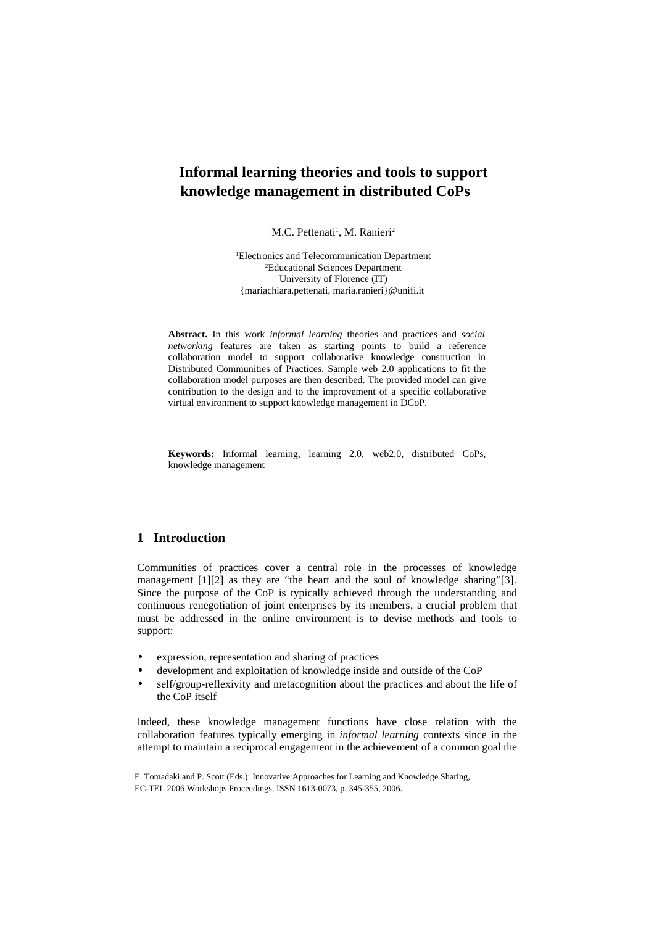M.C. Pettenati<sup>1</sup>, M. Ranieri<sup>2</sup>

<sup>1</sup>Electronics and Telecommunication Department <sup>2</sup>Educational Sciences Department University of Florence (IT) {mariachiara.pettenati, maria.ranieri}@unifi.it

**Abstract.** In this work *informal learning* theories and practices and *social networking* features are taken as starting points to build a reference collaboration model to support collaborative knowledge construction in Distributed Communities of Practices. Sample web 2.0 applications to fit the collaboration model purposes are then described. The provided model can give contribution to the design and to the improvement of a specific collaborative virtual environment to support knowledge management in DCoP.

**Keywords:** Informal learning, learning 2.0, web2.0, distributed CoPs, knowledge management

## **1 Introduction**

Communities of practices cover a central role in the processes of knowledge management [1][2] as they are "the heart and the soul of knowledge sharing"[3]. Since the purpose of the CoP is typically achieved through the understanding and continuous renegotiation of joint enterprises by its members, a crucial problem that must be addressed in the online environment is to devise methods and tools to support:

- expression, representation and sharing of practices
- development and exploitation of knowledge inside and outside of the CoP
- self/group-reflexivity and metacognition about the practices and about the life of the CoP itself

Indeed, these knowledge management functions have close relation with the collaboration features typically emerging in *informal learning* contexts since in the attempt to maintain a reciprocal engagement in the achievement of a common goal the

E. Tomadaki and P. Scott (Eds.): Innovative Approaches for Learning and Knowledge Sharing, EC-TEL 2006 Workshops Proceedings, ISSN 1613-0073, p. 345-355, 2006.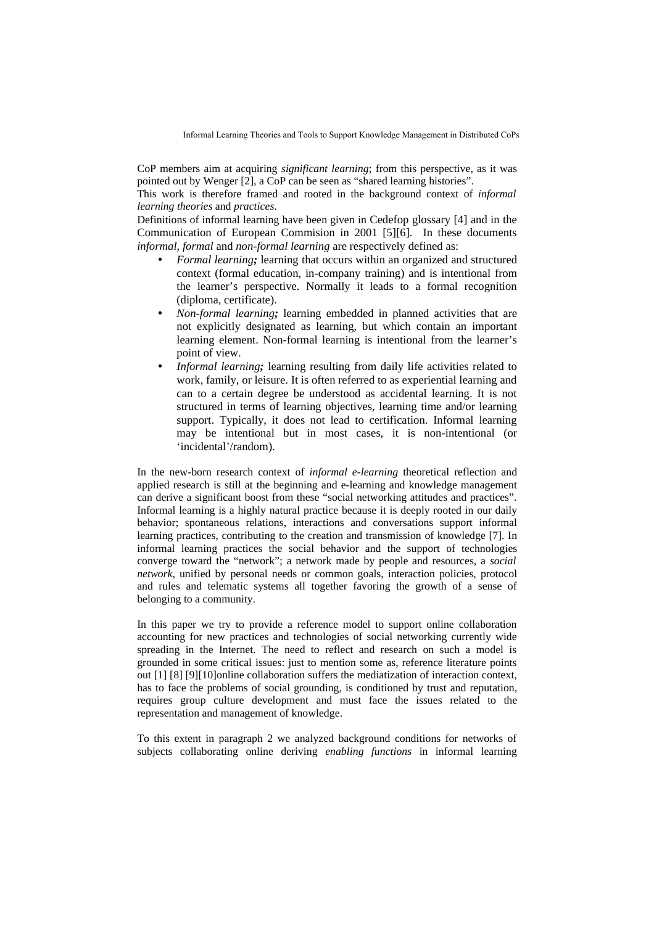CoP members aim at acquiring *significant learning*; from this perspective, as it was pointed out by Wenger [2], a CoP can be seen as "shared learning histories".

This work is therefore framed and rooted in the background context of *informal learning theories* and *practices*.

Definitions of informal learning have been given in Cedefop glossary [4] and in the Communication of European Commision in 2001 [5][6]. In these documents *informal*, *formal* and *non-formal learning* are respectively defined as:

- *Formal learning;* learning that occurs within an organized and structured context (formal education, in-company training) and is intentional from the learner's perspective. Normally it leads to a formal recognition (diploma, certificate).
- *Non-formal learning;* learning embedded in planned activities that are not explicitly designated as learning, but which contain an important learning element. Non-formal learning is intentional from the learner's point of view.
- *Informal learning;* learning resulting from daily life activities related to work, family, or leisure. It is often referred to as experiential learning and can to a certain degree be understood as accidental learning. It is not structured in terms of learning objectives, learning time and/or learning support. Typically, it does not lead to certification. Informal learning may be intentional but in most cases, it is non-intentional (or 'incidental'/random).

In the new-born research context of *informal e-learning* theoretical reflection and applied research is still at the beginning and e-learning and knowledge management can derive a significant boost from these "social networking attitudes and practices". Informal learning is a highly natural practice because it is deeply rooted in our daily behavior; spontaneous relations, interactions and conversations support informal learning practices, contributing to the creation and transmission of knowledge [7]. In informal learning practices the social behavior and the support of technologies converge toward the "network"; a network made by people and resources, a *social network*, unified by personal needs or common goals, interaction policies, protocol and rules and telematic systems all together favoring the growth of a sense of belonging to a community.

In this paper we try to provide a reference model to support online collaboration accounting for new practices and technologies of social networking currently wide spreading in the Internet. The need to reflect and research on such a model is grounded in some critical issues: just to mention some as, reference literature points out [1] [8] [9][10]online collaboration suffers the mediatization of interaction context, has to face the problems of social grounding, is conditioned by trust and reputation, requires group culture development and must face the issues related to the representation and management of knowledge.

To this extent in paragraph 2 we analyzed background conditions for networks of subjects collaborating online deriving *enabling functions* in informal learning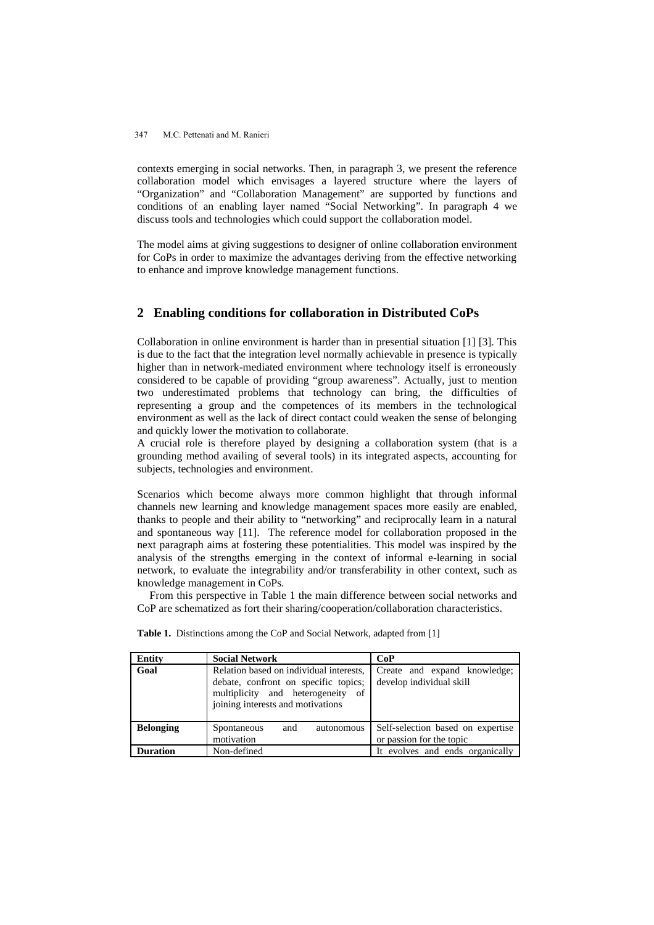contexts emerging in social networks. Then, in paragraph 3, we present the reference collaboration model which envisages a layered structure where the layers of "Organization" and "Collaboration Management" are supported by functions and conditions of an enabling layer named "Social Networking". In paragraph 4 we discuss tools and technologies which could support the collaboration model.

The model aims at giving suggestions to designer of online collaboration environment for CoPs in order to maximize the advantages deriving from the effective networking to enhance and improve knowledge management functions.

### **2 Enabling conditions for collaboration in Distributed CoPs**

Collaboration in online environment is harder than in presential situation [1] [3]. This is due to the fact that the integration level normally achievable in presence is typically higher than in network-mediated environment where technology itself is erroneously considered to be capable of providing "group awareness". Actually, just to mention two underestimated problems that technology can bring, the difficulties of representing a group and the competences of its members in the technological environment as well as the lack of direct contact could weaken the sense of belonging and quickly lower the motivation to collaborate.

A crucial role is therefore played by designing a collaboration system (that is a grounding method availing of several tools) in its integrated aspects, accounting for subjects, technologies and environment.

Scenarios which become always more common highlight that through informal channels new learning and knowledge management spaces more easily are enabled, thanks to people and their ability to "networking" and reciprocally learn in a natural and spontaneous way [11]. The reference model for collaboration proposed in the next paragraph aims at fostering these potentialities. This model was inspired by the analysis of the strengths emerging in the context of informal e-learning in social network, to evaluate the integrability and/or transferability in other context, such as knowledge management in CoPs.

From this perspective in Table 1 the main difference between social networks and CoP are schematized as fort their sharing/cooperation/collaboration characteristics.

| <b>Entity</b>    | <b>Social Network</b>                                                                                                                                     | CoP                                                           |
|------------------|-----------------------------------------------------------------------------------------------------------------------------------------------------------|---------------------------------------------------------------|
| Goal             | Relation based on individual interests,<br>debate, confront on specific topics;<br>multiplicity and heterogeneity of<br>joining interests and motivations | Create and expand knowledge;<br>develop individual skill      |
| <b>Belonging</b> | and<br>Spontaneous<br>autonomous<br>motivation                                                                                                            | Self-selection based on expertise<br>or passion for the topic |
| <b>Duration</b>  | Non-defined                                                                                                                                               | It evolves and ends organically                               |

**Table 1.** Distinctions among the CoP and Social Network, adapted from [1]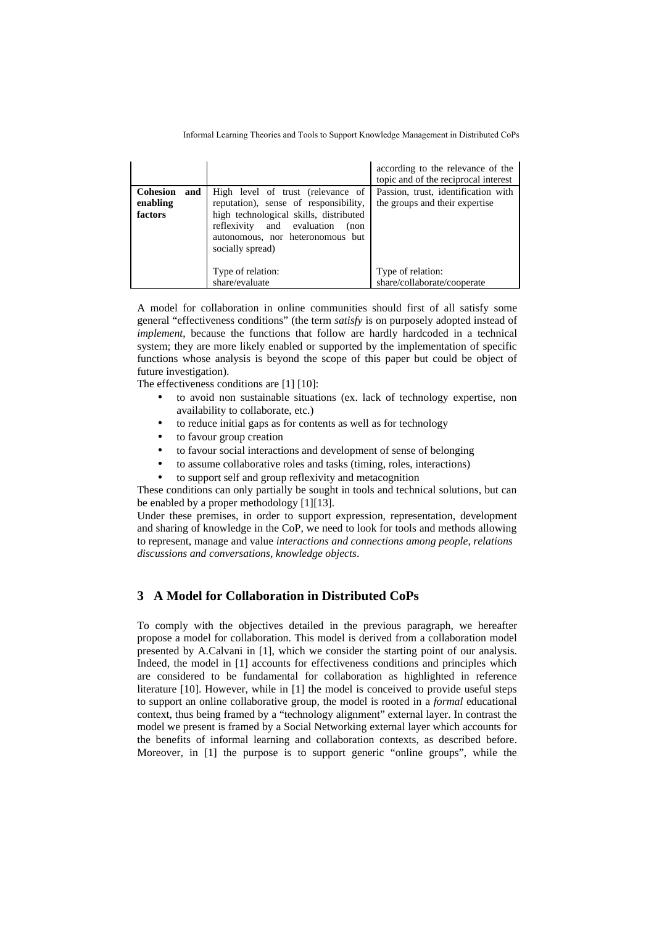| <b>Cohesion</b><br>and<br>enabling<br>factors | High level of trust (relevance of<br>reputation), sense of responsibility,<br>high technological skills, distributed<br>reflexivity and evaluation<br>(non | according to the relevance of the<br>topic and of the reciprocal interest<br>Passion, trust, identification with<br>the groups and their expertise |
|-----------------------------------------------|------------------------------------------------------------------------------------------------------------------------------------------------------------|----------------------------------------------------------------------------------------------------------------------------------------------------|
|                                               | autonomous, nor heteronomous but<br>socially spread)<br>Type of relation:<br>share/evaluate                                                                | Type of relation:<br>share/collaborate/cooperate                                                                                                   |

A model for collaboration in online communities should first of all satisfy some general "effectiveness conditions" (the term *satisfy* is on purposely adopted instead of *implement*, because the functions that follow are hardly hardcoded in a technical system; they are more likely enabled or supported by the implementation of specific functions whose analysis is beyond the scope of this paper but could be object of future investigation).

The effectiveness conditions are [1] [10]:

- to avoid non sustainable situations (ex. lack of technology expertise, non availability to collaborate, etc.)
- to reduce initial gaps as for contents as well as for technology
- to favour group creation
- to favour social interactions and development of sense of belonging
- to assume collaborative roles and tasks (timing, roles, interactions)
- to support self and group reflexivity and metacognition

These conditions can only partially be sought in tools and technical solutions, but can be enabled by a proper methodology [1][13].

Under these premises, in order to support expression, representation, development and sharing of knowledge in the CoP, we need to look for tools and methods allowing to represent, manage and value *interactions and connections among people*, *relations discussions and conversations*, *knowledge objects*.

## **3 A Model for Collaboration in Distributed CoPs**

To comply with the objectives detailed in the previous paragraph, we hereafter propose a model for collaboration. This model is derived from a collaboration model presented by A.Calvani in [1], which we consider the starting point of our analysis. Indeed, the model in [1] accounts for effectiveness conditions and principles which are considered to be fundamental for collaboration as highlighted in reference literature [10]. However, while in [1] the model is conceived to provide useful steps to support an online collaborative group, the model is rooted in a *formal* educational context, thus being framed by a "technology alignment" external layer. In contrast the model we present is framed by a Social Networking external layer which accounts for the benefits of informal learning and collaboration contexts, as described before. Moreover, in [1] the purpose is to support generic "online groups", while the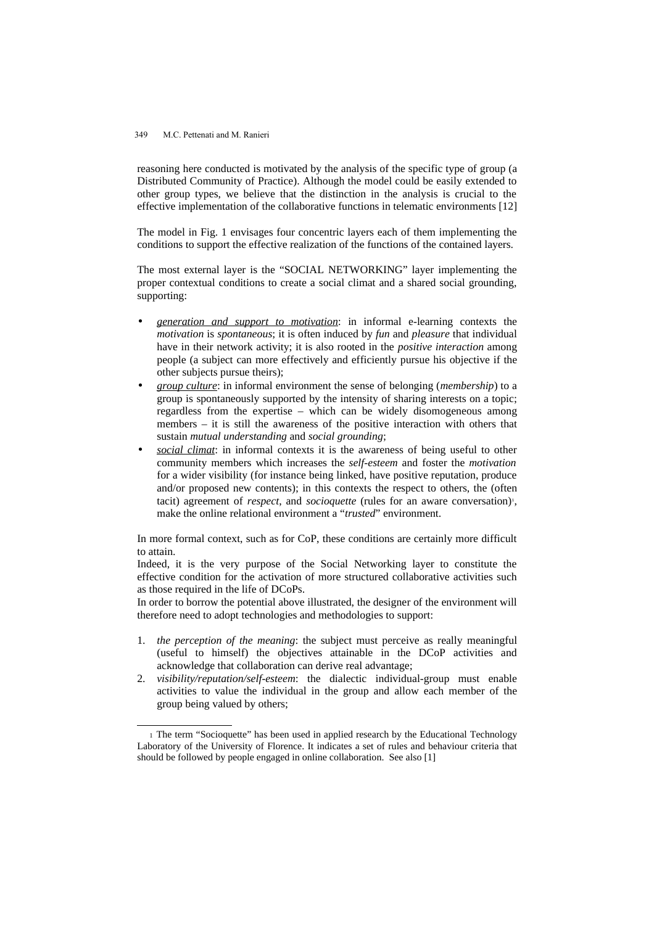reasoning here conducted is motivated by the analysis of the specific type of group (a Distributed Community of Practice). Although the model could be easily extended to other group types, we believe that the distinction in the analysis is crucial to the effective implementation of the collaborative functions in telematic environments [12]

The model in Fig. 1 envisages four concentric layers each of them implementing the conditions to support the effective realization of the functions of the contained layers.

The most external layer is the "SOCIAL NETWORKING" layer implementing the proper contextual conditions to create a social climat and a shared social grounding, supporting:

- *generation and support to motivation*: in informal e-learning contexts the *motivation* is *spontaneous*; it is often induced by *fun* and *pleasure* that individual have in their network activity; it is also rooted in the *positive interaction* among people (a subject can more effectively and efficiently pursue his objective if the other subjects pursue theirs);
- *group culture*: in informal environment the sense of belonging (*membership*) to a group is spontaneously supported by the intensity of sharing interests on a topic; regardless from the expertise – which can be widely disomogeneous among members – it is still the awareness of the positive interaction with others that sustain *mutual understanding* and *social grounding*;
- *social climat*: in informal contexts it is the awareness of being useful to other community members which increases the *self-esteem* and foster the *motivation* for a wider visibility (for instance being linked, have positive reputation, produce and/or proposed new contents); in this contexts the respect to others, the (often tacit) agreement of *respect*, and *socioquette* (rules for an aware conversation)<sup>[1](#page-4-0)</sup>, make the online relational environment a "*trusted*" environment.

In more formal context, such as for CoP, these conditions are certainly more difficult to attain.

Indeed, it is the very purpose of the Social Networking layer to constitute the effective condition for the activation of more structured collaborative activities such as those required in the life of DCoPs.

In order to borrow the potential above illustrated, the designer of the environment will therefore need to adopt technologies and methodologies to support:

- 1. *the perception of the meaning*: the subject must perceive as really meaningful (useful to himself) the objectives attainable in the DCoP activities and acknowledge that collaboration can derive real advantage;
- 2. *visibility/reputation/self-esteem*: the dialectic individual-group must enable activities to value the individual in the group and allow each member of the group being valued by others;

<span id="page-4-0"></span><sup>1</sup> The term "Socioquette" has been used in applied research by the Educational Technology Laboratory of the University of Florence. It indicates a set of rules and behaviour criteria that should be followed by people engaged in online collaboration. See also [1]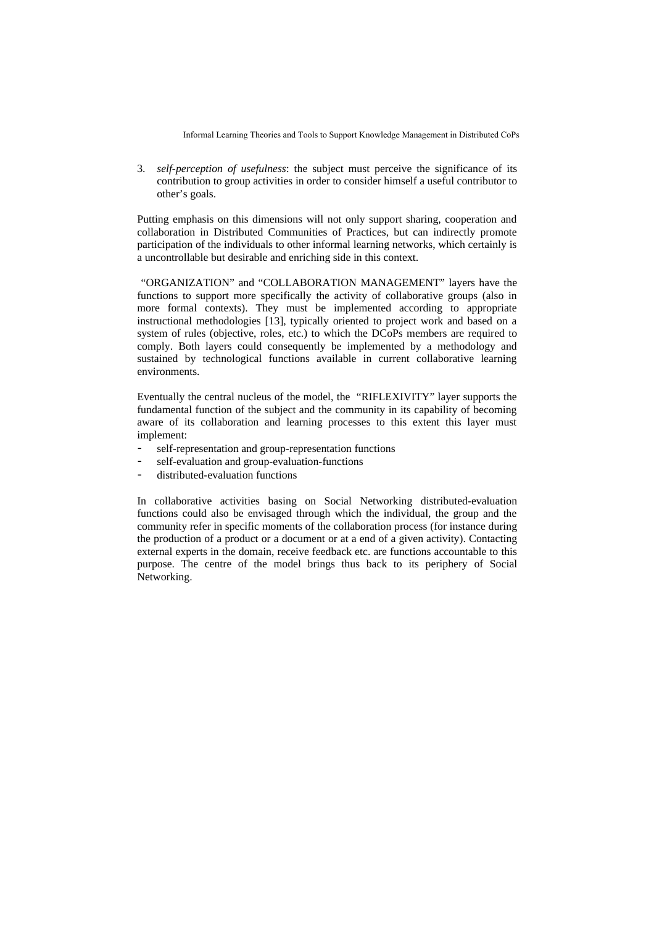3. *self-perception of usefulness*: the subject must perceive the significance of its contribution to group activities in order to consider himself a useful contributor to other's goals.

Putting emphasis on this dimensions will not only support sharing, cooperation and collaboration in Distributed Communities of Practices, but can indirectly promote participation of the individuals to other informal learning networks, which certainly is a uncontrollable but desirable and enriching side in this context.

"ORGANIZATION" and "COLLABORATION MANAGEMENT" layers have the functions to support more specifically the activity of collaborative groups (also in more formal contexts). They must be implemented according to appropriate instructional methodologies [13], typically oriented to project work and based on a system of rules (objective, roles, etc.) to which the DCoPs members are required to comply. Both layers could consequently be implemented by a methodology and sustained by technological functions available in current collaborative learning environments.

Eventually the central nucleus of the model, the "RIFLEXIVITY" layer supports the fundamental function of the subject and the community in its capability of becoming aware of its collaboration and learning processes to this extent this layer must implement:

- self-representation and group-representation functions
- self-evaluation and group-evaluation-functions
- distributed-evaluation functions

In collaborative activities basing on Social Networking distributed-evaluation functions could also be envisaged through which the individual, the group and the community refer in specific moments of the collaboration process (for instance during the production of a product or a document or at a end of a given activity). Contacting external experts in the domain, receive feedback etc. are functions accountable to this purpose. The centre of the model brings thus back to its periphery of Social Networking.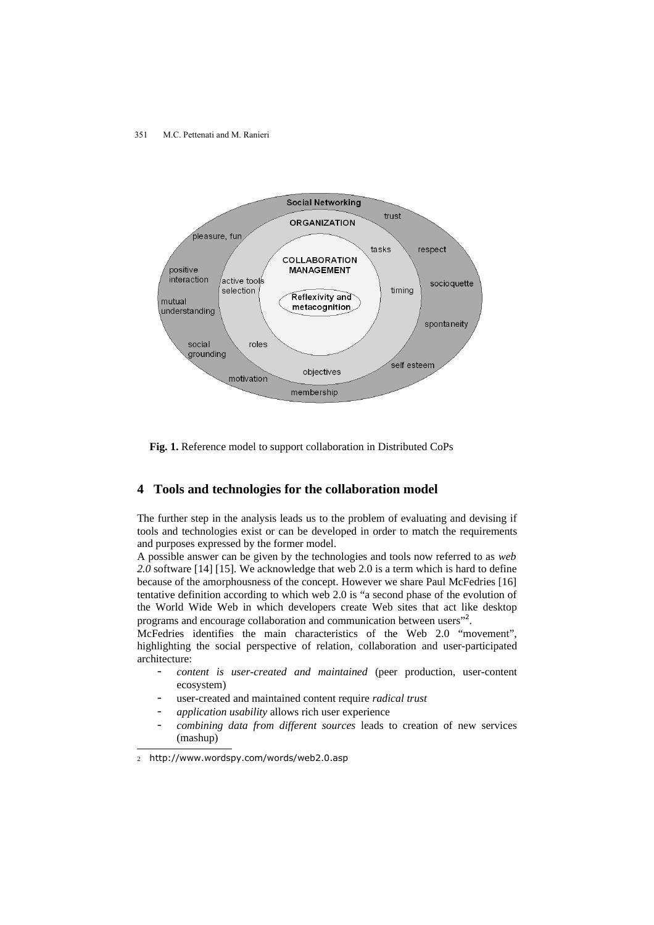351 M.C. Pettenati and M. Ranieri



**Fig. 1.** Reference model to support collaboration in Distributed CoPs

### **4 Tools and technologies for the collaboration model**

The further step in the analysis leads us to the problem of evaluating and devising if tools and technologies exist or can be developed in order to match the requirements and purposes expressed by the former model.

A possible answer can be given by the technologies and tools now referred to as *web 2.0* software [14] [15]. We acknowledge that web 2.0 is a term which is hard to define because of the amorphousness of the concept. However we share Paul McFedries [16] tentative definition according to which web 2.0 is "a second phase of the evolution of the World Wide Web in which developers create Web sites that act like desktop programs and encourage collaboration and communication between users"<sup>[2](#page-6-0)</sup>.

McFedries identifies the main characteristics of the Web 2.0 "movement", highlighting the social perspective of relation, collaboration and user-participated architecture:

- *content is user-created and maintained* (peer production, user-content ecosystem)
- user-created and maintained content require *radical trust*
- *application usability* allows rich user experience
- *combining data from different sources* leads to creation of new services (mashup)

<span id="page-6-0"></span><sup>2</sup> http://www.wordspy.com/words/web2.0.asp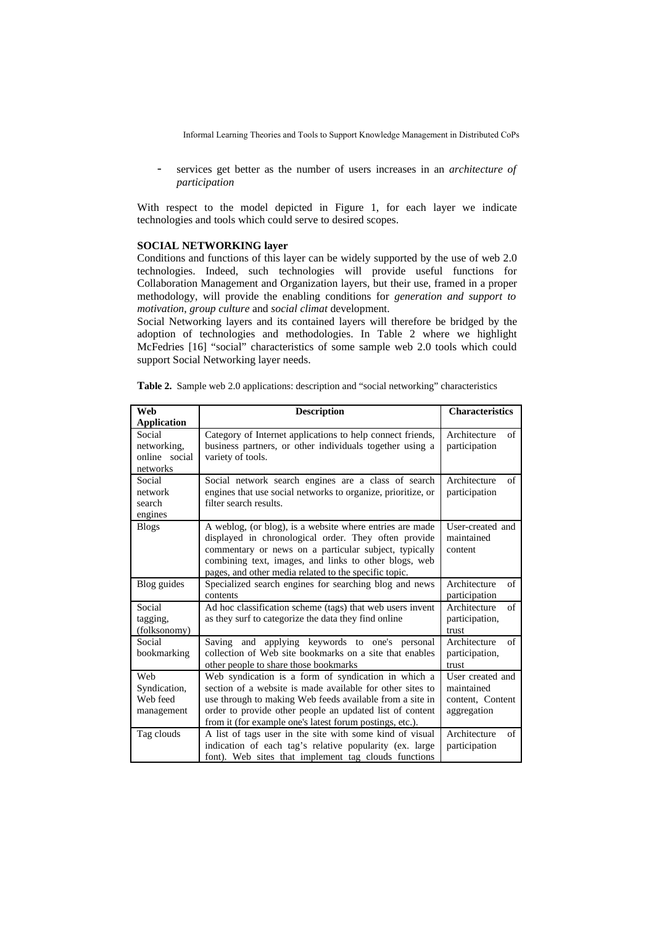- services get better as the number of users increases in an *architecture of participation*

With respect to the model depicted in Figure 1, for each layer we indicate technologies and tools which could serve to desired scopes.

### **SOCIAL NETWORKING layer**

Conditions and functions of this layer can be widely supported by the use of web 2.0 technologies. Indeed, such technologies will provide useful functions for Collaboration Management and Organization layers, but their use, framed in a proper methodology, will provide the enabling conditions for *generation and support to motivation*, *group culture* and *social climat* development.

Social Networking layers and its contained layers will therefore be bridged by the adoption of technologies and methodologies. In Table 2 where we highlight McFedries [16] "social" characteristics of some sample web 2.0 tools which could support Social Networking layer needs.

| Web                                                | <b>Description</b>                                                                                                                                                                                                                                                                                   | <b>Characteristics</b>                                            |
|----------------------------------------------------|------------------------------------------------------------------------------------------------------------------------------------------------------------------------------------------------------------------------------------------------------------------------------------------------------|-------------------------------------------------------------------|
| Application                                        |                                                                                                                                                                                                                                                                                                      |                                                                   |
| Social<br>networking.<br>online social<br>networks | Category of Internet applications to help connect friends,<br>business partners, or other individuals together using a<br>variety of tools.                                                                                                                                                          | Architecture<br>of<br>participation                               |
| Social<br>network<br>search<br>engines             | Social network search engines are a class of search<br>engines that use social networks to organize, prioritize, or<br>filter search results.                                                                                                                                                        | Architecture<br>of<br>participation                               |
| <b>Blogs</b>                                       | A weblog, (or blog), is a website where entries are made<br>displayed in chronological order. They often provide<br>commentary or news on a particular subject, typically<br>combining text, images, and links to other blogs, web<br>pages, and other media related to the specific topic.          | User-created and<br>maintained<br>content                         |
| Blog guides                                        | Specialized search engines for searching blog and news<br>contents                                                                                                                                                                                                                                   | Architecture<br>of<br>participation                               |
| Social<br>tagging,<br>(folksonomy)                 | Ad hoc classification scheme (tags) that web users invent<br>as they surf to categorize the data they find online                                                                                                                                                                                    | Architecture<br>of<br>participation,<br>trust                     |
| Social<br>bookmarking                              | applying keywords to one's personal<br>Saving and<br>collection of Web site bookmarks on a site that enables<br>other people to share those bookmarks                                                                                                                                                | Architecture<br>of<br>participation,<br>trust                     |
| Web<br>Syndication,<br>Web feed<br>management      | Web syndication is a form of syndication in which a<br>section of a website is made available for other sites to<br>use through to making Web feeds available from a site in<br>order to provide other people an updated list of content<br>from it (for example one's latest forum postings, etc.). | User created and<br>maintained<br>content, Content<br>aggregation |
| Tag clouds                                         | A list of tags user in the site with some kind of visual<br>indication of each tag's relative popularity (ex. large<br>font). Web sites that implement tag clouds functions                                                                                                                          | Architecture<br>of<br>participation                               |

**Table 2.** Sample web 2.0 applications: description and "social networking" characteristics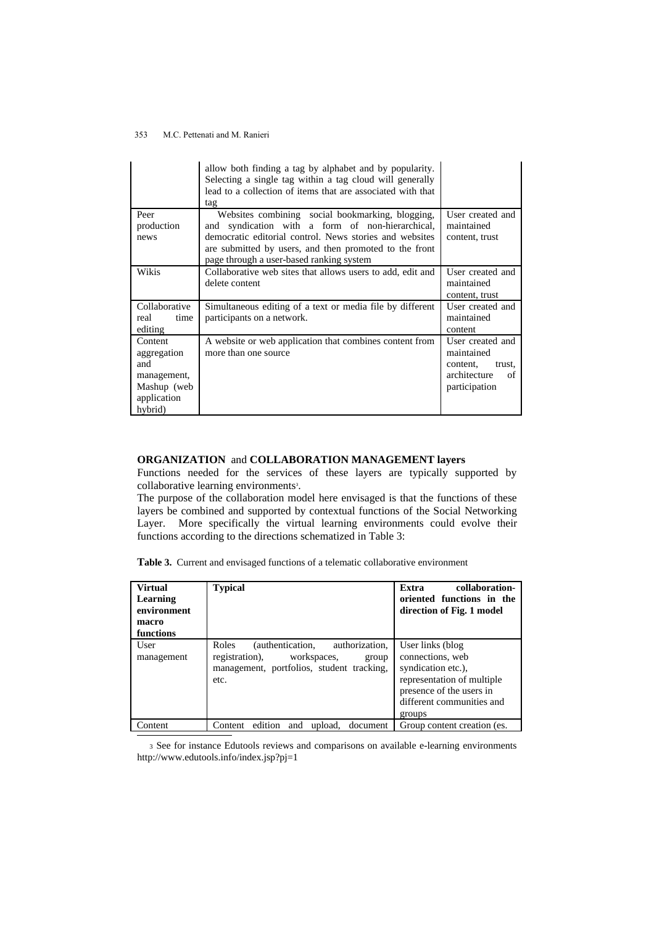|               | allow both finding a tag by alphabet and by popularity.<br>Selecting a single tag within a tag cloud will generally<br>lead to a collection of items that are associated with that<br>tag |                    |
|---------------|-------------------------------------------------------------------------------------------------------------------------------------------------------------------------------------------|--------------------|
| Peer          | Websites combining social bookmarking, blogging,                                                                                                                                          | User created and   |
| production    | and syndication with a form of non-hierarchical,                                                                                                                                          | maintained         |
| news          | democratic editorial control. News stories and websites                                                                                                                                   | content, trust     |
|               | are submitted by users, and then promoted to the front<br>page through a user-based ranking system                                                                                        |                    |
| Wikis         | Collaborative web sites that allows users to add, edit and                                                                                                                                | User created and   |
|               | delete content                                                                                                                                                                            | maintained         |
|               |                                                                                                                                                                                           | content, trust     |
| Collaborative | Simultaneous editing of a text or media file by different                                                                                                                                 | User created and   |
| real<br>time  | participants on a network.                                                                                                                                                                | maintained         |
| editing       |                                                                                                                                                                                           | content            |
| Content       | A website or web application that combines content from                                                                                                                                   | User created and   |
| aggregation   | more than one source.                                                                                                                                                                     | maintained         |
| and           |                                                                                                                                                                                           | content,<br>trust, |
| management,   |                                                                                                                                                                                           | architecture<br>of |
| Mashup (web   |                                                                                                                                                                                           | participation      |
| application   |                                                                                                                                                                                           |                    |
| hybrid)       |                                                                                                                                                                                           |                    |

## **ORGANIZATION** and **COLLABORATION MANAGEMENT layers**

Functions needed for the services of these layers are typically supported by collaborative learning environments [3](#page-8-0) .

The purpose of the collaboration model here envisaged is that the functions of these layers be combined and supported by contextual functions of the Social Networking Layer. More specifically the virtual learning environments could evolve their functions according to the directions schematized in Table 3:

| <b>Virtual</b><br>Learning<br>environment<br>macro<br>functions | <b>Typical</b>                                                                                                                          | collaboration-<br>Extra<br>oriented functions in the<br>direction of Fig. 1 model                                                                           |
|-----------------------------------------------------------------|-----------------------------------------------------------------------------------------------------------------------------------------|-------------------------------------------------------------------------------------------------------------------------------------------------------------|
| User<br>management                                              | authorization,<br>Roles<br>(authentication,<br>registration), workspaces,<br>group<br>management, portfolios, student tracking,<br>etc. | User links (blog<br>connections, web<br>syndication etc.),<br>representation of multiple<br>presence of the users in<br>different communities and<br>groups |
| Content                                                         | edition<br>and<br>upload,<br>Content<br>document                                                                                        | Group content creation (es.                                                                                                                                 |

<span id="page-8-0"></span><sup>3</sup> See for instance Edutools reviews and comparisons on available e-learning environments http://www.edutools.info/index.jsp?pj=1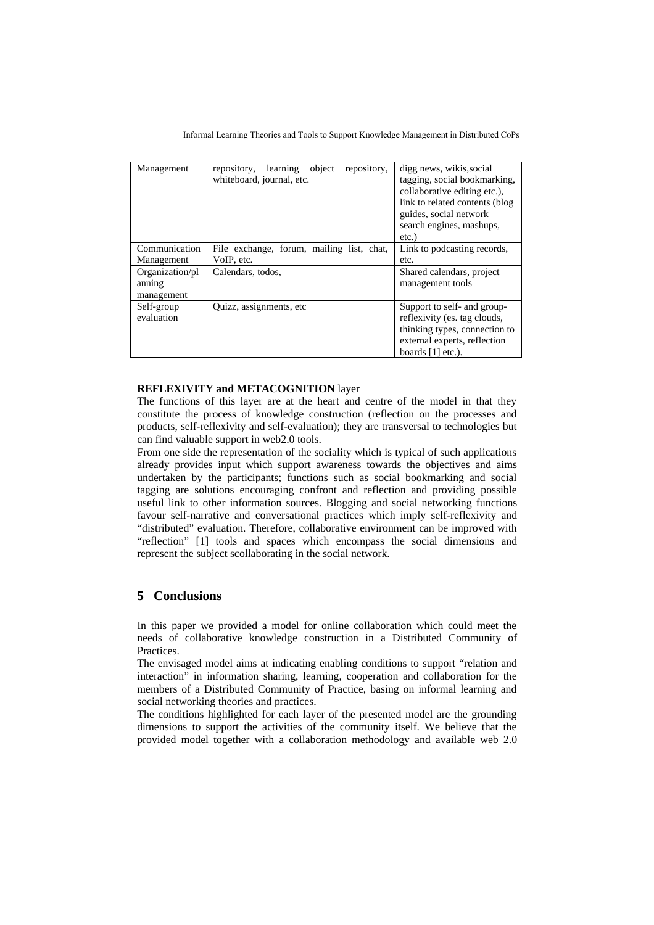| Management                              | repository,<br>object<br>learning<br>repository,<br>whiteboard, journal, etc. | digg news, wikis, social<br>tagging, social bookmarking,<br>collaborative editing etc.),<br>link to related contents (blog<br>guides, social network<br>search engines, mashups,<br>$etc.$ ) |
|-----------------------------------------|-------------------------------------------------------------------------------|----------------------------------------------------------------------------------------------------------------------------------------------------------------------------------------------|
| Communication<br>Management             | File exchange, forum, mailing list, chat,<br>VoIP, etc.                       | Link to podcasting records,<br>etc.                                                                                                                                                          |
| Organization/pl<br>anning<br>management | Calendars, todos,                                                             | Shared calendars, project<br>management tools                                                                                                                                                |
| Self-group<br>evaluation                | Quizz, assignments, etc.                                                      | Support to self- and group-<br>reflexivity (es. tag clouds,<br>thinking types, connection to<br>external experts, reflection<br>boards $[1]$ etc.).                                          |

### **REFLEXIVITY and METACOGNITION** layer

The functions of this layer are at the heart and centre of the model in that they constitute the process of knowledge construction (reflection on the processes and products, self-reflexivity and self-evaluation); they are transversal to technologies but can find valuable support in web2.0 tools.

From one side the representation of the sociality which is typical of such applications already provides input which support awareness towards the objectives and aims undertaken by the participants; functions such as social bookmarking and social tagging are solutions encouraging confront and reflection and providing possible useful link to other information sources. Blogging and social networking functions favour self-narrative and conversational practices which imply self-reflexivity and "distributed" evaluation. Therefore, collaborative environment can be improved with "reflection" [1] tools and spaces which encompass the social dimensions and represent the subject scollaborating in the social network.

## **5 Conclusions**

In this paper we provided a model for online collaboration which could meet the needs of collaborative knowledge construction in a Distributed Community of Practices.

The envisaged model aims at indicating enabling conditions to support "relation and interaction" in information sharing, learning, cooperation and collaboration for the members of a Distributed Community of Practice, basing on informal learning and social networking theories and practices.

The conditions highlighted for each layer of the presented model are the grounding dimensions to support the activities of the community itself. We believe that the provided model together with a collaboration methodology and available web 2.0